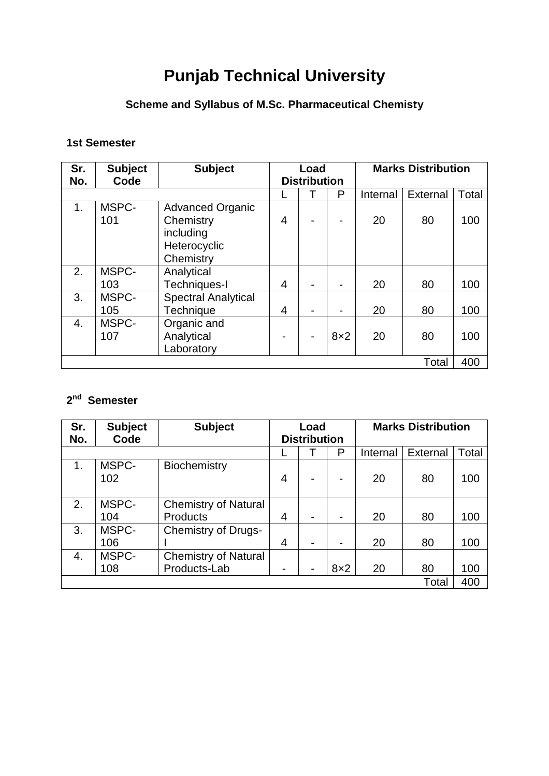# **Punjab Technical University**

# **Scheme and Syllabus of M.Sc. Pharmaceutical Chemisty**

## **1st Semester**

| Sr.            | <b>Subject</b> | <b>Subject</b>             | Load                |  |            | <b>Marks Distribution</b> |          |       |
|----------------|----------------|----------------------------|---------------------|--|------------|---------------------------|----------|-------|
| No.            | Code           |                            | <b>Distribution</b> |  |            |                           |          |       |
|                |                |                            |                     |  | P          | Internal                  | External | Total |
| 1 <sub>1</sub> | MSPC-          | <b>Advanced Organic</b>    |                     |  |            |                           |          |       |
|                | 101            | Chemistry                  | 4                   |  |            | 20                        | 80       | 100   |
|                |                | including                  |                     |  |            |                           |          |       |
|                |                | Heterocyclic               |                     |  |            |                           |          |       |
|                |                | Chemistry                  |                     |  |            |                           |          |       |
| 2.             | MSPC-          | Analytical                 |                     |  |            |                           |          |       |
|                | 103            | Techniques-I               | 4                   |  |            | 20                        | 80       | 100   |
| 3.             | MSPC-          | <b>Spectral Analytical</b> |                     |  |            |                           |          |       |
|                | 105            | <b>Technique</b>           | 4                   |  |            | 20                        | 80       | 100   |
| 4.             | MSPC-          | Organic and                |                     |  |            |                           |          |       |
|                | 107            | Analytical                 |                     |  | $8\times2$ | 20                        | 80       | 100   |
|                |                | Laboratory                 |                     |  |            |                           |          |       |
| Total          |                |                            |                     |  |            |                           |          | 400   |

## **2 nd Semester**

| Sr.<br>No. | <b>Subject</b><br>Code | <b>Subject</b>              | Load<br><b>Distribution</b> |  |     | <b>Marks Distribution</b> |          |       |
|------------|------------------------|-----------------------------|-----------------------------|--|-----|---------------------------|----------|-------|
|            |                        |                             |                             |  | P   | Internal                  | External | Total |
| 1.         | MSPC-<br>102           | Biochemistry                | $\overline{4}$              |  |     | 20                        | 80       | 100   |
| 2.         | MSPC-                  | <b>Chemistry of Natural</b> |                             |  |     |                           |          |       |
|            | 104                    | <b>Products</b>             | 4                           |  |     | 20                        | 80       | 100   |
| 3.         | MSPC-<br>106           | <b>Chemistry of Drugs-</b>  | $\overline{4}$              |  |     | 20                        | 80       | 100   |
| 4.         | MSPC-                  | <b>Chemistry of Natural</b> |                             |  |     |                           |          |       |
|            | 108                    | Products-Lab                |                             |  | 8x2 | 20                        | 80       | 100   |
|            |                        |                             |                             |  |     |                           | Total    | 400   |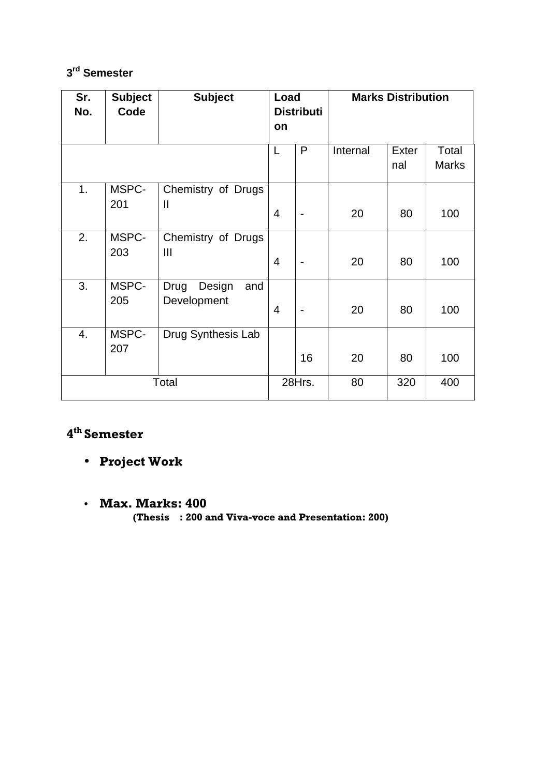## **3 rd Semester**

| Sr.<br>No. | <b>Subject</b><br>Code | <b>Subject</b>                       | Load<br><b>Distributi</b><br>on |                              | <b>Marks Distribution</b> |              |                       |  |
|------------|------------------------|--------------------------------------|---------------------------------|------------------------------|---------------------------|--------------|-----------------------|--|
|            |                        |                                      | L                               | P                            | Internal                  | Exter<br>nal | Total<br><b>Marks</b> |  |
| 1.         | MSPC-<br>201           | Chemistry of Drugs<br>$\mathbf{  }$  | 4                               |                              | 20                        | 80           | 100                   |  |
| 2.         | MSPC-<br>203           | Chemistry of Drugs<br>$\mathbf{III}$ | $\overline{4}$                  | $\qquad \qquad \blacksquare$ | 20                        | 80           | 100                   |  |
| 3.         | MSPC-<br>205           | Design<br>Drug<br>and<br>Development | 4                               | $\qquad \qquad \blacksquare$ | 20                        | 80           | 100                   |  |
| 4.         | MSPC-<br>207           | Drug Synthesis Lab                   |                                 | 16                           | 20                        | 80           | 100                   |  |
| Total      |                        |                                      |                                 | 28Hrs.                       | 80                        | 320          | 400                   |  |

## 4<sup>th</sup> Semester

- Project Work
- Max. Marks: 400 (Thesis : 200 and Viva-voce and Presentation: 200)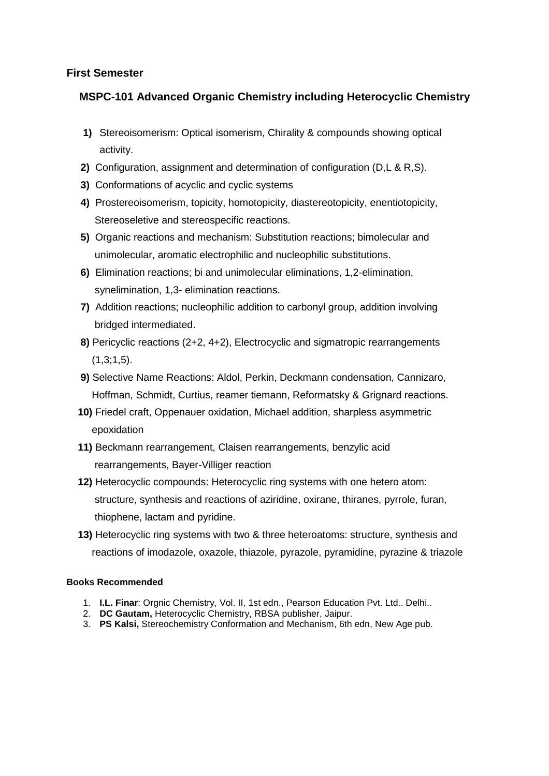## **MSPC-101 Advanced Organic Chemistry including Heterocyclic Chemistry**

- **1)** Stereoisomerism: Optical isomerism, Chirality & compounds showing optical activity.
- **2)** Configuration, assignment and determination of configuration (D,L & R,S).
- **3)** Conformations of acyclic and cyclic systems
- **4)** Prostereoisomerism, topicity, homotopicity, diastereotopicity, enentiotopicity, Stereoseletive and stereospecific reactions.
- **5)** Organic reactions and mechanism: Substitution reactions; bimolecular and unimolecular, aromatic electrophilic and nucleophilic substitutions.
- **6)** Elimination reactions; bi and unimolecular eliminations, 1,2-elimination, synelimination, 1,3- elimination reactions.
- **7)** Addition reactions; nucleophilic addition to carbonyl group, addition involving bridged intermediated.
- **8)** Pericyclic reactions (2+2, 4+2), Electrocyclic and sigmatropic rearrangements  $(1,3;1,5)$ .
- **9)** Selective Name Reactions: Aldol, Perkin, Deckmann condensation, Cannizaro, Hoffman, Schmidt, Curtius, reamer tiemann, Reformatsky & Grignard reactions.
- **10)** Friedel craft, Oppenauer oxidation, Michael addition, sharpless asymmetric epoxidation
- **11)** Beckmann rearrangement, Claisen rearrangements, benzylic acid rearrangements, Bayer-Villiger reaction
- **12)** Heterocyclic compounds: Heterocyclic ring systems with one hetero atom: structure, synthesis and reactions of aziridine, oxirane, thiranes, pyrrole, furan, thiophene, lactam and pyridine.
- **13)** Heterocyclic ring systems with two & three heteroatoms: structure, synthesis and reactions of imodazole, oxazole, thiazole, pyrazole, pyramidine, pyrazine & triazole

- 1. **I.L. Finar**: Orgnic Chemistry, Vol. II, 1st edn., Pearson Education Pvt. Ltd.. Delhi..
- 2. **DC Gautam,** Heterocyclic Chemistry, RBSA publisher, Jaipur.
- 3. **PS Kalsi,** Stereochemistry Conformation and Mechanism, 6th edn, New Age pub.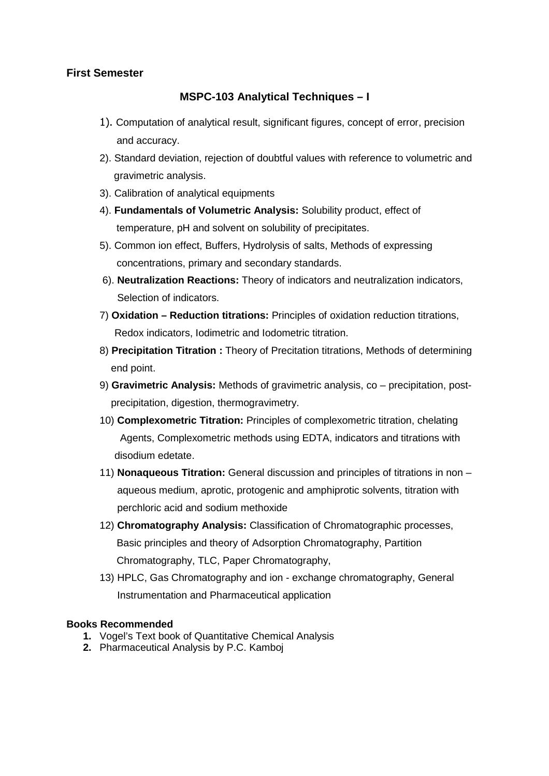## **MSPC-103 Analytical Techniques – I**

- 1). Computation of analytical result, significant figures, concept of error, precision and accuracy.
- 2). Standard deviation, rejection of doubtful values with reference to volumetric and gravimetric analysis.
- 3). Calibration of analytical equipments
- 4). **Fundamentals of Volumetric Analysis:** Solubility product, effect of temperature, pH and solvent on solubility of precipitates.
- 5). Common ion effect, Buffers, Hydrolysis of salts, Methods of expressing concentrations, primary and secondary standards.
- 6). **Neutralization Reactions:** Theory of indicators and neutralization indicators, Selection of indicators.
- 7) **Oxidation Reduction titrations:** Principles of oxidation reduction titrations, Redox indicators, Iodimetric and Iodometric titration.
- 8) **Precipitation Titration :** Theory of Precitation titrations, Methods of determining end point.
- 9) **Gravimetric Analysis:** Methods of gravimetric analysis, co precipitation, post precipitation, digestion, thermogravimetry.
- 10) **Complexometric Titration:** Principles of complexometric titration, chelating Agents, Complexometric methods using EDTA, indicators and titrations with disodium edetate.
- 11) **Nonaqueous Titration:** General discussion and principles of titrations in non aqueous medium, aprotic, protogenic and amphiprotic solvents, titration with perchloric acid and sodium methoxide
- 12) **Chromatography Analysis:** Classification of Chromatographic processes, Basic principles and theory of Adsorption Chromatography, Partition Chromatography, TLC, Paper Chromatography,
- 13) HPLC, Gas Chromatography and ion exchange chromatography, General Instrumentation and Pharmaceutical application

- **1.** Vogel's Text book of Quantitative Chemical Analysis
- **2.** Pharmaceutical Analysis by P.C. Kamboj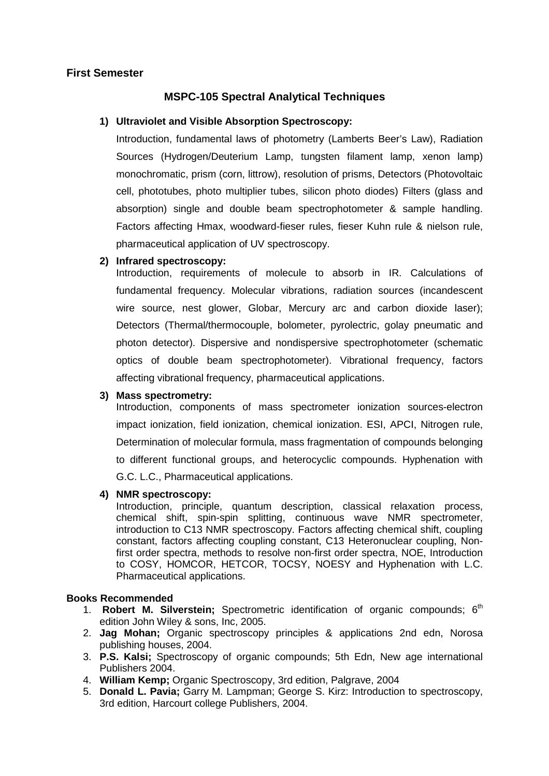## **MSPC-105 Spectral Analytical Techniques**

## **1) Ultraviolet and Visible Absorption Spectroscopy:**

Introduction, fundamental laws of photometry (Lamberts Beer's Law), Radiation Sources (Hydrogen/Deuterium Lamp, tungsten filament lamp, xenon lamp) monochromatic, prism (corn, littrow), resolution of prisms, Detectors (Photovoltaic cell, phototubes, photo multiplier tubes, silicon photo diodes) Filters (glass and absorption) single and double beam spectrophotometer & sample handling. Factors affecting Hmax, woodward-fieser rules, fieser Kuhn rule & nielson rule, pharmaceutical application of UV spectroscopy.

#### **2) Infrared spectroscopy:**

Introduction, requirements of molecule to absorb in IR. Calculations of fundamental frequency. Molecular vibrations, radiation sources (incandescent wire source, nest glower, Globar, Mercury arc and carbon dioxide laser); Detectors (Thermal/thermocouple, bolometer, pyrolectric, golay pneumatic and photon detector). Dispersive and nondispersive spectrophotometer (schematic optics of double beam spectrophotometer). Vibrational frequency, factors affecting vibrational frequency, pharmaceutical applications.

#### **3) Mass spectrometry:**

Introduction, components of mass spectrometer ionization sources-electron impact ionization, field ionization, chemical ionization. ESI, APCI, Nitrogen rule, Determination of molecular formula, mass fragmentation of compounds belonging to different functional groups, and heterocyclic compounds. Hyphenation with G.C. L.C., Pharmaceutical applications.

#### **4) NMR spectroscopy:**

Introduction, principle, quantum description, classical relaxation process, chemical shift, spin-spin splitting, continuous wave NMR spectrometer, introduction to C13 NMR spectroscopy. Factors affecting chemical shift, coupling constant, factors affecting coupling constant, C13 Heteronuclear coupling, Nonfirst order spectra, methods to resolve non-first order spectra, NOE, Introduction to COSY, HOMCOR, HETCOR, TOCSY, NOESY and Hyphenation with L.C. Pharmaceutical applications.

- 1. **Robert M. Silverstein**; Spectrometric identification of organic compounds; 6<sup>th</sup> edition John Wiley & sons, Inc, 2005.
- 2. **Jag Mohan;** Organic spectroscopy principles & applications 2nd edn, Norosa publishing houses, 2004.
- 3. **P.S. Kalsi;** Spectroscopy of organic compounds; 5th Edn, New age international Publishers 2004.
- 4. **William Kemp;** Organic Spectroscopy, 3rd edition, Palgrave, 2004
- 5. **Donald L. Pavia;** Garry M. Lampman; George S. Kirz: Introduction to spectroscopy, 3rd edition, Harcourt college Publishers, 2004.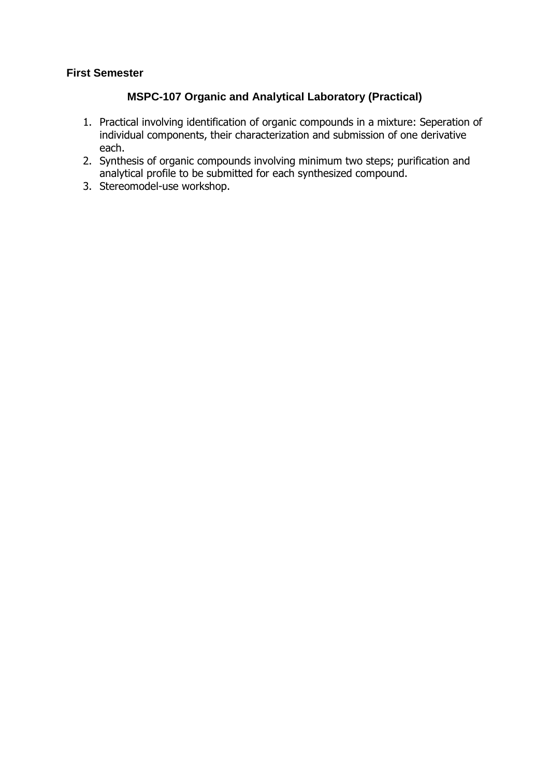## **MSPC-107 Organic and Analytical Laboratory (Practical)**

- 1. Practical involving identification of organic compounds in a mixture: Seperation of individual components, their characterization and submission of one derivative each.
- 2. Synthesis of organic compounds involving minimum two steps; purification and analytical profile to be submitted for each synthesized compound.
- 3. Stereomodel-use workshop.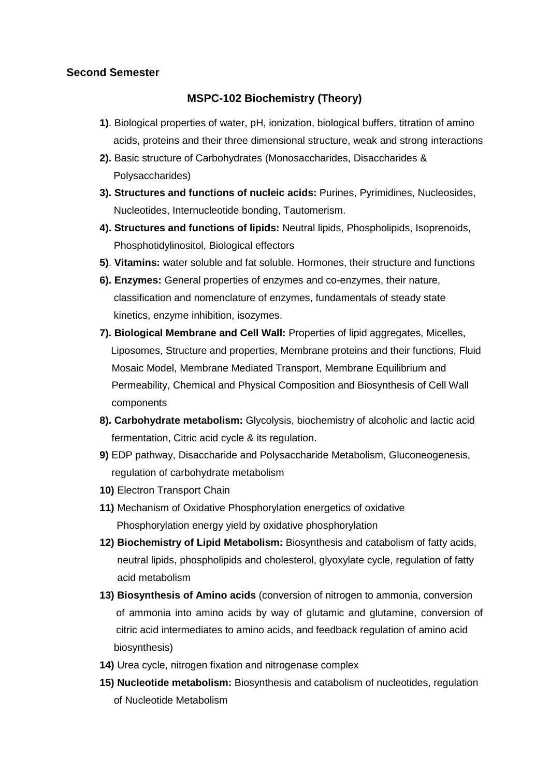## **MSPC-102 Biochemistry (Theory)**

- **1)**. Biological properties of water, pH, ionization, biological buffers, titration of amino acids, proteins and their three dimensional structure, weak and strong interactions
- **2).** Basic structure of Carbohydrates (Monosaccharides, Disaccharides & Polysaccharides)
- **3). Structures and functions of nucleic acids:** Purines, Pyrimidines, Nucleosides, Nucleotides, Internucleotide bonding, Tautomerism.
- **4). Structures and functions of lipids:** Neutral lipids, Phospholipids, Isoprenoids, Phosphotidylinositol, Biological effectors
- **5)**. **Vitamins:** water soluble and fat soluble. Hormones, their structure and functions
- **6). Enzymes:** General properties of enzymes and co-enzymes, their nature, classification and nomenclature of enzymes, fundamentals of steady state kinetics, enzyme inhibition, isozymes.
- **7). Biological Membrane and Cell Wall:** Properties of lipid aggregates, Micelles, Liposomes, Structure and properties, Membrane proteins and their functions, Fluid Mosaic Model, Membrane Mediated Transport, Membrane Equilibrium and Permeability, Chemical and Physical Composition and Biosynthesis of Cell Wall components
- **8). Carbohydrate metabolism:** Glycolysis, biochemistry of alcoholic and lactic acid fermentation, Citric acid cycle & its regulation.
- **9)** EDP pathway, Disaccharide and Polysaccharide Metabolism, Gluconeogenesis, regulation of carbohydrate metabolism
- **10)** Electron Transport Chain
- **11)** Mechanism of Oxidative Phosphorylation energetics of oxidative Phosphorylation energy yield by oxidative phosphorylation
- **12) Biochemistry of Lipid Metabolism:** Biosynthesis and catabolism of fatty acids, neutral lipids, phospholipids and cholesterol, glyoxylate cycle, regulation of fatty acid metabolism
- **13) Biosynthesis of Amino acids** (conversion of nitrogen to ammonia, conversion of ammonia into amino acids by way of glutamic and glutamine, conversion of citric acid intermediates to amino acids, and feedback regulation of amino acid biosynthesis)
- **14)** Urea cycle, nitrogen fixation and nitrogenase complex
- **15) Nucleotide metabolism:** Biosynthesis and catabolism of nucleotides, regulation of Nucleotide Metabolism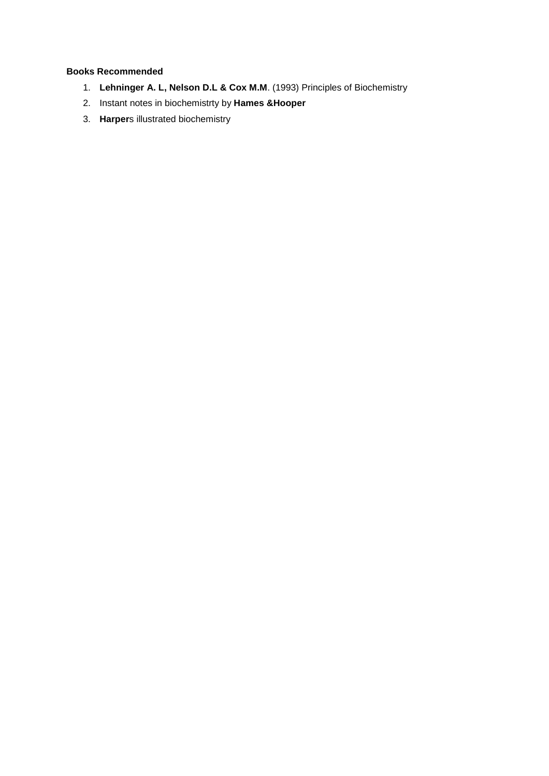- 1. **Lehninger A. L, Nelson D.L & Cox M.M**. (1993) Principles of Biochemistry
- 2. Instant notes in biochemistrty by **Hames &Hooper**
- 3. **Harper**s illustrated biochemistry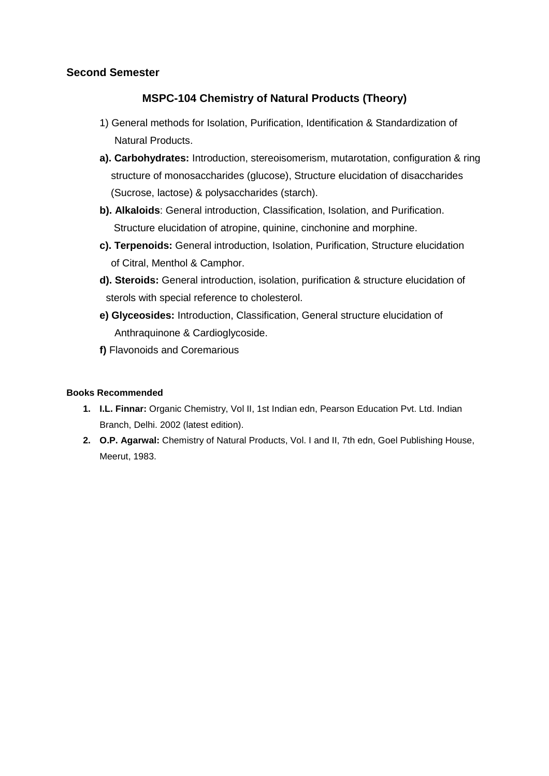## **MSPC-104 Chemistry of Natural Products (Theory)**

- 1) General methods for Isolation, Purification, Identification & Standardization of Natural Products.
- **a). Carbohydrates:** Introduction, stereoisomerism, mutarotation, configuration & ring structure of monosaccharides (glucose), Structure elucidation of disaccharides (Sucrose, lactose) & polysaccharides (starch).
- **b). Alkaloids**: General introduction, Classification, Isolation, and Purification. Structure elucidation of atropine, quinine, cinchonine and morphine.
- **c). Terpenoids:** General introduction, Isolation, Purification, Structure elucidation of Citral, Menthol & Camphor.
- **d). Steroids:** General introduction, isolation, purification & structure elucidation of sterols with special reference to cholesterol.
- **e) Glyceosides:** Introduction, Classification, General structure elucidation of Anthraquinone & Cardioglycoside.
- **f)** Flavonoids and Coremarious

- **1. I.L. Finnar:** Organic Chemistry, Vol II, 1st Indian edn, Pearson Education Pvt. Ltd. Indian Branch, Delhi. 2002 (latest edition).
- **2. O.P. Agarwal:** Chemistry of Natural Products, Vol. I and II, 7th edn, Goel Publishing House, Meerut, 1983.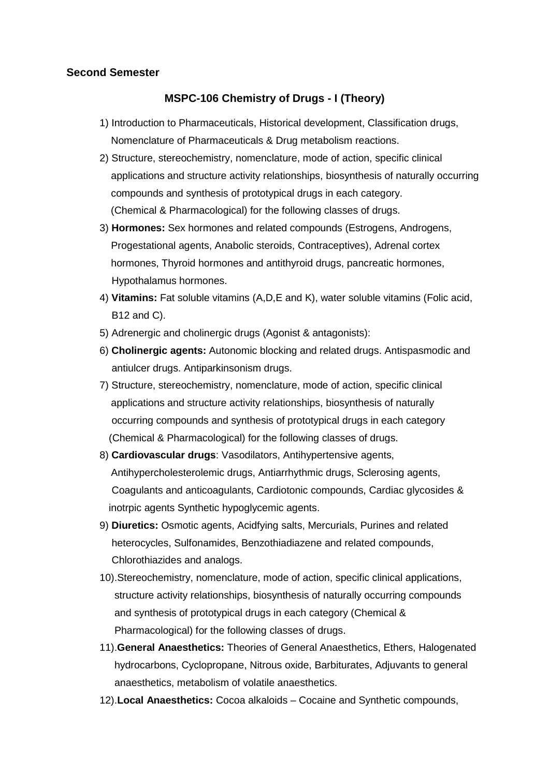#### **MSPC-106 Chemistry of Drugs - I (Theory)**

- 1) Introduction to Pharmaceuticals, Historical development, Classification drugs, Nomenclature of Pharmaceuticals & Drug metabolism reactions.
- 2) Structure, stereochemistry, nomenclature, mode of action, specific clinical applications and structure activity relationships, biosynthesis of naturally occurring compounds and synthesis of prototypical drugs in each category. (Chemical & Pharmacological) for the following classes of drugs.
- 3) **Hormones:** Sex hormones and related compounds (Estrogens, Androgens, Progestational agents, Anabolic steroids, Contraceptives), Adrenal cortex hormones, Thyroid hormones and antithyroid drugs, pancreatic hormones, Hypothalamus hormones.
- 4) **Vitamins:** Fat soluble vitamins (A,D,E and K), water soluble vitamins (Folic acid, B12 and C).
- 5) Adrenergic and cholinergic drugs (Agonist & antagonists):
- 6) **Cholinergic agents:** Autonomic blocking and related drugs. Antispasmodic and antiulcer drugs. Antiparkinsonism drugs.
- 7) Structure, stereochemistry, nomenclature, mode of action, specific clinical applications and structure activity relationships, biosynthesis of naturally occurring compounds and synthesis of prototypical drugs in each category (Chemical & Pharmacological) for the following classes of drugs.
- 8) **Cardiovascular drugs**: Vasodilators, Antihypertensive agents, Antihypercholesterolemic drugs, Antiarrhythmic drugs, Sclerosing agents, Coagulants and anticoagulants, Cardiotonic compounds, Cardiac glycosides & inotrpic agents Synthetic hypoglycemic agents.
- 9) **Diuretics:** Osmotic agents, Acidfying salts, Mercurials, Purines and related heterocycles, Sulfonamides, Benzothiadiazene and related compounds, Chlorothiazides and analogs.
- 10).Stereochemistry, nomenclature, mode of action, specific clinical applications, structure activity relationships, biosynthesis of naturally occurring compounds and synthesis of prototypical drugs in each category (Chemical & Pharmacological) for the following classes of drugs.
- 11).**General Anaesthetics:** Theories of General Anaesthetics, Ethers, Halogenated hydrocarbons, Cyclopropane, Nitrous oxide, Barbiturates, Adjuvants to general anaesthetics, metabolism of volatile anaesthetics.
- 12).**Local Anaesthetics:** Cocoa alkaloids Cocaine and Synthetic compounds,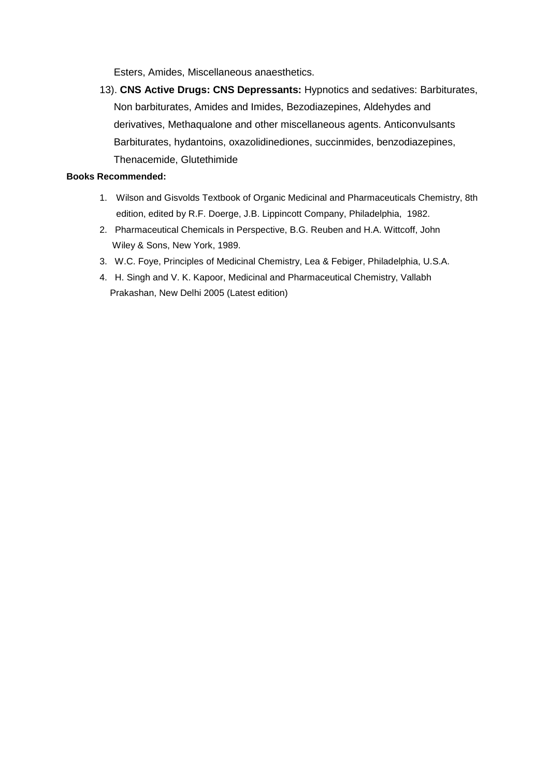Esters, Amides, Miscellaneous anaesthetics.

13). **CNS Active Drugs: CNS Depressants:** Hypnotics and sedatives: Barbiturates, Non barbiturates, Amides and Imides, Bezodiazepines, Aldehydes and derivatives, Methaqualone and other miscellaneous agents. Anticonvulsants Barbiturates, hydantoins, oxazolidinediones, succinmides, benzodiazepines, Thenacemide, Glutethimide

- 1. Wilson and Gisvolds Textbook of Organic Medicinal and Pharmaceuticals Chemistry, 8th edition, edited by R.F. Doerge, J.B. Lippincott Company, Philadelphia, 1982.
- 2. Pharmaceutical Chemicals in Perspective, B.G. Reuben and H.A. Wittcoff, John Wiley & Sons, New York, 1989.
- 3. W.C. Foye, Principles of Medicinal Chemistry, Lea & Febiger, Philadelphia, U.S.A.
- 4. H. Singh and V. K. Kapoor, Medicinal and Pharmaceutical Chemistry, Vallabh Prakashan, New Delhi 2005 (Latest edition)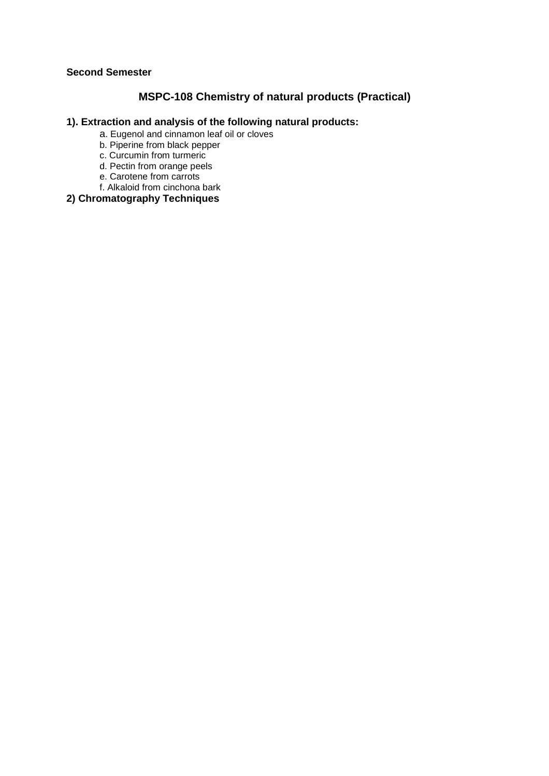## **MSPC-108 Chemistry of natural products (Practical)**

#### **1). Extraction and analysis of the following natural products:**

- a. Eugenol and cinnamon leaf oil or cloves
- b. Piperine from black pepper
- c. Curcumin from turmeric
- d. Pectin from orange peels
- e. Carotene from carrots
- f. Alkaloid from cinchona bark

## **2) Chromatography Techniques**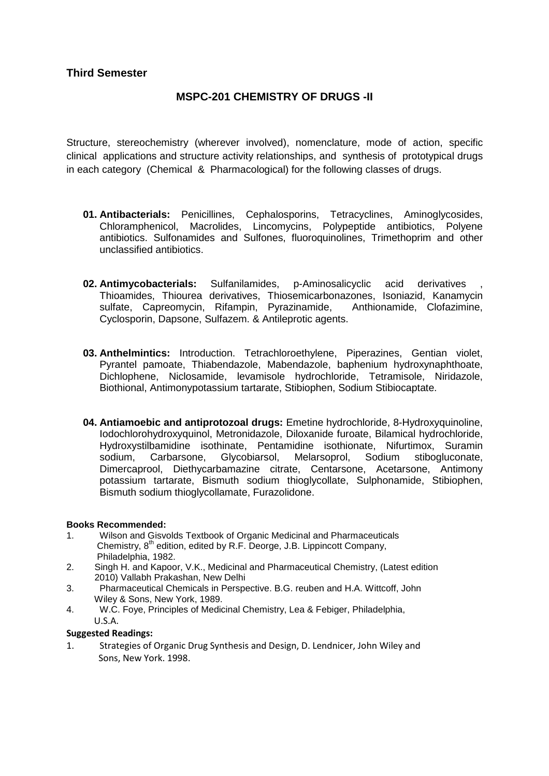## **MSPC-201 CHEMISTRY OF DRUGS -II**

Structure, stereochemistry (wherever involved), nomenclature, mode of action, specific clinical applications and structure activity relationships, and synthesis of prototypical drugs in each category (Chemical & Pharmacological) for the following classes of drugs.

- **01. Antibacterials:** Penicillines, Cephalosporins, Tetracyclines, Aminoglycosides, Chloramphenicol, Macrolides, Lincomycins, Polypeptide antibiotics, Polyene antibiotics. Sulfonamides and Sulfones, fluoroquinolines, Trimethoprim and other unclassified antibiotics.
- **02. Antimycobacterials:** Sulfanilamides, p-Aminosalicyclic acid derivatives , Thioamides, Thiourea derivatives, Thiosemicarbonazones, Isoniazid, Kanamycin sulfate, Capreomycin, Rifampin, Pyrazinamide, Anthionamide, Clofazimine, Cyclosporin, Dapsone, Sulfazem. & Antileprotic agents.
- **03. Anthelmintics:** Introduction. Tetrachloroethylene, Piperazines, Gentian violet, Pyrantel pamoate, Thiabendazole, Mabendazole, baphenium hydroxynaphthoate, Dichlophene, Niclosamide, levamisole hydrochloride, Tetramisole, Niridazole, Biothional, Antimonypotassium tartarate, Stibiophen, Sodium Stibiocaptate.
- **04. Antiamoebic and antiprotozoal drugs:** Emetine hydrochloride, 8-Hydroxyquinoline, Iodochlorohydroxyquinol, Metronidazole, Diloxanide furoate, Bilamical hydrochloride, Hydroxystilbamidine isothinate, Pentamidine isothionate, Nifurtimox, Suramin sodium, Carbarsone, Glycobiarsol, Melarsoprol, Sodium stibogluconate, Dimercaprool, Diethycarbamazine citrate, Centarsone, Acetarsone, Antimony potassium tartarate, Bismuth sodium thioglycollate, Sulphonamide, Stibiophen, Bismuth sodium thioglycollamate, Furazolidone.

#### **Books Recommended:**

- 1. Wilson and Gisvolds Textbook of Organic Medicinal and Pharmaceuticals Chemistry,  $8<sup>th</sup>$  edition, edited by R.F. Deorge, J.B. Lippincott Company, Philadelphia, 1982.
- 2. Singh H. and Kapoor, V.K., Medicinal and Pharmaceutical Chemistry, (Latest edition 2010) Vallabh Prakashan, New Delhi
- 3. Pharmaceutical Chemicals in Perspective. B.G. reuben and H.A. Wittcoff, John Wiley & Sons, New York, 1989.<br>4. W.C. Foye, Principles of Medic
- 4. W.C. Foye, Principles of Medicinal Chemistry, Lea & Febiger, Philadelphia, U.S.A.

#### Suggested Readings:

1. Strategies of Organic Drug Synthesis and Design, D. Lendnicer, John Wiley and Sons, New York. 1998.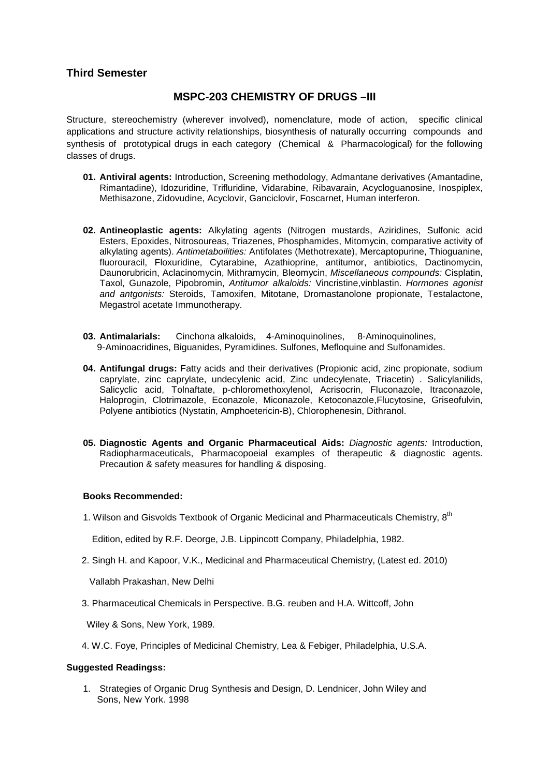### **Third Semester**

#### **MSPC-203 CHEMISTRY OF DRUGS –III**

Structure, stereochemistry (wherever involved), nomenclature, mode of action, specific clinical applications and structure activity relationships, biosynthesis of naturally occurring compounds and synthesis of prototypical drugs in each category (Chemical & Pharmacological) for the following classes of drugs.

- **01. Antiviral agents:** Introduction, Screening methodology, Admantane derivatives (Amantadine, Rimantadine), Idozuridine, Trifluridine, Vidarabine, Ribavarain, Acycloguanosine, Inospiplex, Methisazone, Zidovudine, Acyclovir, Ganciclovir, Foscarnet, Human interferon.
- **02. Antineoplastic agents:** Alkylating agents (Nitrogen mustards, Aziridines, Sulfonic acid Esters, Epoxides, Nitrosoureas, Triazenes, Phosphamides, Mitomycin, comparative activity of alkylating agents). Antimetaboilities: Antifolates (Methotrexate), Mercaptopurine, Thioguanine, fluorouracil, Floxuridine, Cytarabine, Azathioprine, antitumor, antibiotics, Dactinomycin, Daunorubricin, Aclacinomycin, Mithramycin, Bleomycin, Miscellaneous compounds: Cisplatin, Taxol, Gunazole, Pipobromin, Antitumor alkaloids: Vincristine,vinblastin. Hormones agonist and antgonists: Steroids, Tamoxifen, Mitotane, Dromastanolone propionate, Testalactone, Megastrol acetate Immunotherapy.
- **03. Antimalarials:** Cinchona alkaloids, 4-Aminoquinolines, 8-Aminoquinolines, 9-Aminoacridines, Biguanides, Pyramidines. Sulfones, Mefloquine and Sulfonamides.
- **04. Antifungal drugs:** Fatty acids and their derivatives (Propionic acid, zinc propionate, sodium caprylate, zinc caprylate, undecylenic acid, Zinc undecylenate, Triacetin) . Salicylanilids, Salicyclic acid, Tolnaftate, p-chloromethoxylenol, Acrisocrin, Fluconazole, Itraconazole, Haloprogin, Clotrimazole, Econazole, Miconazole, Ketoconazole,Flucytosine, Griseofulvin, Polyene antibiotics (Nystatin, Amphoetericin-B), Chlorophenesin, Dithranol.
- **05. Diagnostic Agents and Organic Pharmaceutical Aids:** Diagnostic agents: Introduction, Radiopharmaceuticals, Pharmacopoeial examples of therapeutic & diagnostic agents. Precaution & safety measures for handling & disposing.

#### **Books Recommended:**

1. Wilson and Gisvolds Textbook of Organic Medicinal and Pharmaceuticals Chemistry,  $8^{th}$ 

Edition, edited by R.F. Deorge, J.B. Lippincott Company, Philadelphia, 1982.

2. Singh H. and Kapoor, V.K., Medicinal and Pharmaceutical Chemistry, (Latest ed. 2010)

Vallabh Prakashan, New Delhi

3. Pharmaceutical Chemicals in Perspective. B.G. reuben and H.A. Wittcoff, John

Wiley & Sons, New York, 1989.

4. W.C. Foye, Principles of Medicinal Chemistry, Lea & Febiger, Philadelphia, U.S.A.

#### **Suggested Readingss:**

1. Strategies of Organic Drug Synthesis and Design, D. Lendnicer, John Wiley and Sons, New York. 1998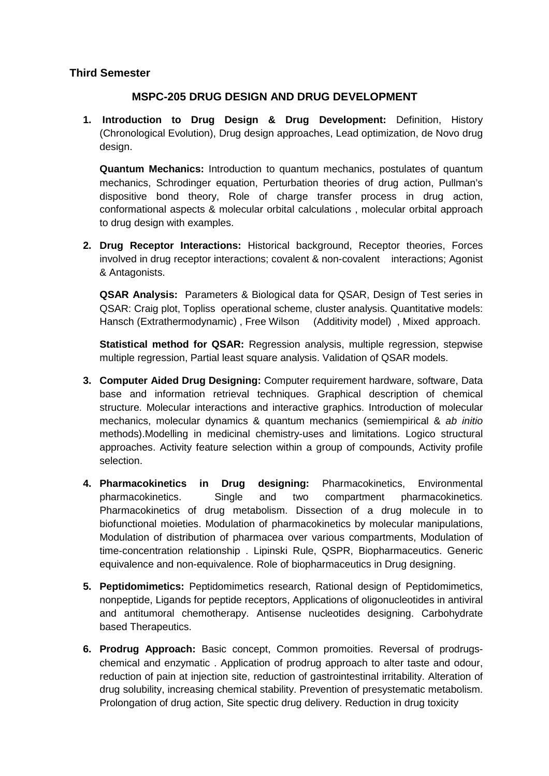### **Third Semester**

## **MSPC-205 DRUG DESIGN AND DRUG DEVELOPMENT**

**1. Introduction to Drug Design & Drug Development:** Definition, History (Chronological Evolution), Drug design approaches, Lead optimization, de Novo drug design.

**Quantum Mechanics:** Introduction to quantum mechanics, postulates of quantum mechanics, Schrodinger equation, Perturbation theories of drug action, Pullman's dispositive bond theory, Role of charge transfer process in drug action, conformational aspects & molecular orbital calculations , molecular orbital approach to drug design with examples.

**2. Drug Receptor Interactions:** Historical background, Receptor theories, Forces involved in drug receptor interactions; covalent & non-covalent interactions; Agonist & Antagonists.

**QSAR Analysis:** Parameters & Biological data for QSAR, Design of Test series in QSAR: Craig plot, Topliss operational scheme, cluster analysis. Quantitative models: Hansch (Extrathermodynamic) , Free Wilson (Additivity model) , Mixed approach.

**Statistical method for QSAR:** Regression analysis, multiple regression, stepwise multiple regression, Partial least square analysis. Validation of QSAR models.

- **3. Computer Aided Drug Designing:** Computer requirement hardware, software, Data base and information retrieval techniques. Graphical description of chemical structure. Molecular interactions and interactive graphics. Introduction of molecular mechanics, molecular dynamics & quantum mechanics (semiempirical & ab initio methods).Modelling in medicinal chemistry-uses and limitations. Logico structural approaches. Activity feature selection within a group of compounds, Activity profile selection.
- **4. Pharmacokinetics in Drug designing:** Pharmacokinetics, Environmental pharmacokinetics. Single and two compartment pharmacokinetics. Pharmacokinetics of drug metabolism. Dissection of a drug molecule in to biofunctional moieties. Modulation of pharmacokinetics by molecular manipulations, Modulation of distribution of pharmacea over various compartments, Modulation of time-concentration relationship . Lipinski Rule, QSPR, Biopharmaceutics. Generic equivalence and non-equivalence. Role of biopharmaceutics in Drug designing.
- **5. Peptidomimetics:** Peptidomimetics research, Rational design of Peptidomimetics, nonpeptide, Ligands for peptide receptors, Applications of oligonucleotides in antiviral and antitumoral chemotherapy. Antisense nucleotides designing. Carbohydrate based Therapeutics.
- **6. Prodrug Approach:** Basic concept, Common promoities. Reversal of prodrugschemical and enzymatic . Application of prodrug approach to alter taste and odour, reduction of pain at injection site, reduction of gastrointestinal irritability. Alteration of drug solubility, increasing chemical stability. Prevention of presystematic metabolism. Prolongation of drug action, Site spectic drug delivery. Reduction in drug toxicity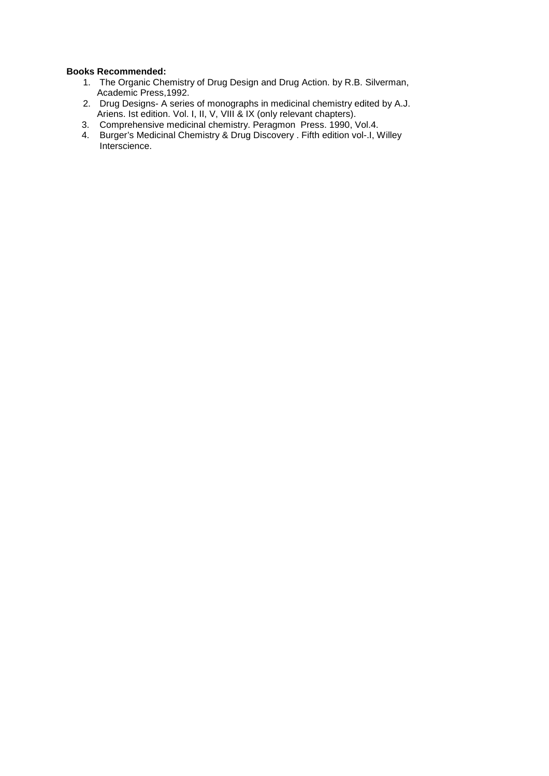- 1. The Organic Chemistry of Drug Design and Drug Action. by R.B. Silverman, Academic Press, 1992.
- 2. Drug Designs- A series of monographs in medicinal chemistry edited by A.J. Ariens. Ist edition. Vol. I, II, V, VIII & IX (only relevant chapters).
- 3. Comprehensive medicinal chemistry. Peragmon Press. 1990, Vol.4.
- 4. Burger's Medicinal Chemistry & Drug Discovery . Fifth edition vol-.I, Willey Interscience.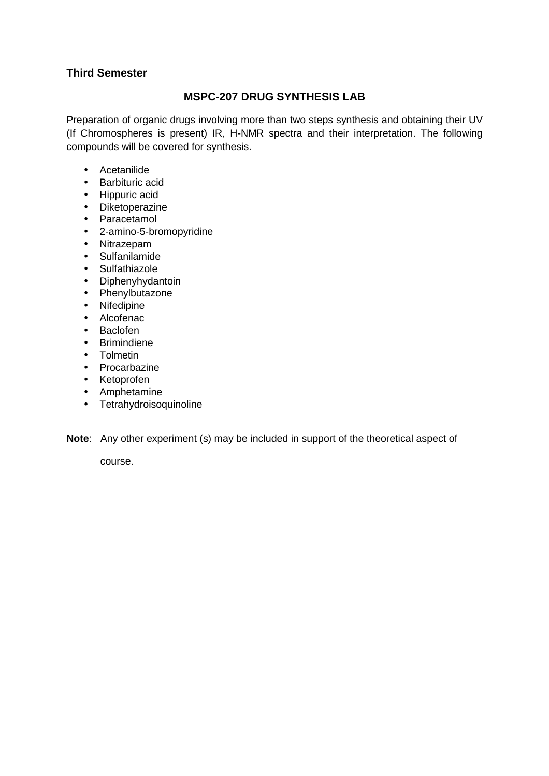## **Third Semester**

## **MSPC-207 DRUG SYNTHESIS LAB**

Preparation of organic drugs involving more than two steps synthesis and obtaining their UV (If Chromospheres is present) IR, H-NMR spectra and their interpretation. The following compounds will be covered for synthesis.

- Acetanilide
- Barbituric acid
- Hippuric acid
- Diketoperazine
- Paracetamol
- 2-amino-5-bromopyridine
- Nitrazepam
- Sulfanilamide
- Sulfathiazole
- Diphenyhydantoin
- Phenylbutazone
- Nifedipine
- Alcofenac
- Baclofen
- Brimindiene
- Tolmetin
- Procarbazine
- Ketoprofen
- Amphetamine
- Tetrahydroisoquinoline

#### **Note**: Any other experiment (s) may be included in support of the theoretical aspect of

course.